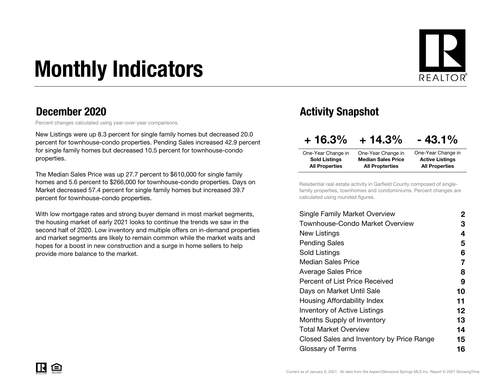# Monthly Indicators



#### December 2020

Percent changes calculated using year-over-year comparisons.

New Listings were up 8.3 percent for single family homes but decreased 20.0 percent for townhouse-condo properties. Pending Sales increased 42.9 percent for single family homes but decreased 10.5 percent for townhouse-condo properties.

The Median Sales Price was up 27.7 percent to \$610,000 for single family homes and 5.6 percent to \$266,000 for townhouse-condo properties. Days on Market decreased 57.4 percent for single family homes but increased 39.7 percent for townhouse-condo properties.

With low mortgage rates and strong buyer demand in most market segments, the housing market of early 2021 looks to continue the trends we saw in the second half of 2020. Low inventory and multiple offers on in-demand properties and market segments are likely to remain common while the market waits and hopes for a boost in new construction and a surge in home sellers to help provide more balance to the market.

### Activity Snapshot

| $+16.3%$                                      | $+14.3%$                                            | $-43.1%$                                        |
|-----------------------------------------------|-----------------------------------------------------|-------------------------------------------------|
| One-Year Change in                            | One-Year Change in                                  | One-Year Change in                              |
| <b>Sold Listings</b><br><b>All Properties</b> | <b>Median Sales Price</b><br><b>All Propterties</b> | <b>Active Listings</b><br><b>All Properties</b> |

Residential real estate activity in Garfield County composed of singlefamily properties, townhomes and condominiums. Percent changes are calculated using rounded figures.

| <b>Single Family Market Overview</b>      | 2                 |
|-------------------------------------------|-------------------|
| Townhouse-Condo Market Overview           | З                 |
| New Listings                              | 4                 |
| <b>Pending Sales</b>                      | 5                 |
| Sold Listings                             | 6                 |
| <b>Median Sales Price</b>                 | 7                 |
| <b>Average Sales Price</b>                | 8                 |
| Percent of List Price Received            | 9                 |
| Days on Market Until Sale                 | 10                |
| Housing Affordability Index               | 11                |
| <b>Inventory of Active Listings</b>       | $12 \ \mathsf{ }$ |
| Months Supply of Inventory                | 13                |
| Total Market Overview                     | 14                |
| Closed Sales and Inventory by Price Range | 15                |
| Glossary of Terms                         | 16                |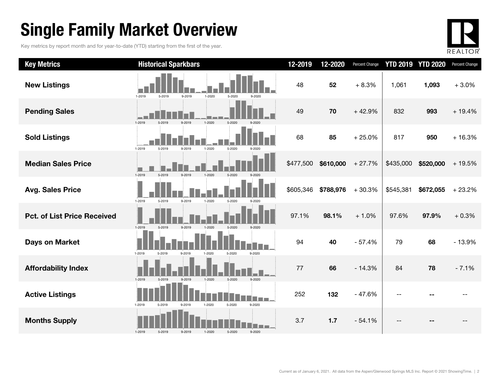### Single Family Market Overview

Key metrics by report month and for year-to-date (YTD) starting from the first of the year.



| <b>Key Metrics</b>                 | <b>Historical Sparkbars</b>                                      | 12-2019   | 12-2020   | Percent Change |           | <b>YTD 2019 YTD 2020</b> | Percent Change |
|------------------------------------|------------------------------------------------------------------|-----------|-----------|----------------|-----------|--------------------------|----------------|
| <b>New Listings</b>                | 1-2019<br>5-2019<br>9-2019<br>$1 - 2020$<br>5-2020<br>9-2020     | 48        | 52        | $+8.3%$        | 1,061     | 1,093                    | $+3.0%$        |
| <b>Pending Sales</b>               | 5-2020<br>1-2019<br>1-2020<br>5-2019<br>9-2019                   | 49        | 70        | $+42.9%$       | 832       | 993                      | $+19.4%$       |
| <b>Sold Listings</b>               | $1 - 2020$<br>1-2019<br>5-2019<br>5-2020<br>9-2019<br>9-2020     | 68        | 85        | $+25.0%$       | 817       | 950                      | $+16.3%$       |
| <b>Median Sales Price</b>          | 1-2019<br>5-2019<br>9-2019<br>1-2020<br>5-2020<br>$9 - 2020$     | \$477,500 | \$610,000 | $+27.7%$       | \$435,000 | \$520,000                | $+19.5%$       |
| <b>Avg. Sales Price</b>            | 1-2019<br>5-2019<br>9-2019<br>1-2020<br>5-2020<br>0.2020         | \$605,346 | \$788,976 | $+30.3%$       | \$545,381 | \$672,055                | $+23.2%$       |
| <b>Pct. of List Price Received</b> | 1-2019<br>5-2019<br>9-2019<br>5-2020<br>$9 - 2020$<br>$1 - 2020$ | 97.1%     | 98.1%     | $+1.0%$        | 97.6%     | 97.9%                    | $+0.3%$        |
| <b>Days on Market</b>              | 1-2019<br>9-2020<br>5-2019<br>9-2019<br>1-2020<br>5-2020         | 94        | 40        | $-57.4%$       | 79        | 68                       | $-13.9%$       |
| <b>Affordability Index</b>         | 1-2020<br>5-2020<br>9-2020<br>1-2019<br>9-2019<br>5-2019         | 77        | 66        | $-14.3%$       | 84        | 78                       | $-7.1%$        |
| <b>Active Listings</b>             | 1-2019<br>5-2020<br>9-2020<br>5-2019<br>9-2019<br>1-2020         | 252       | 132       | $-47.6%$       |           |                          |                |
| <b>Months Supply</b>               | 5-2020<br>1-2019<br>5-2019<br>9-2019<br>1-2020<br>9-2020         | 3.7       | 1.7       | $-54.1%$       |           |                          |                |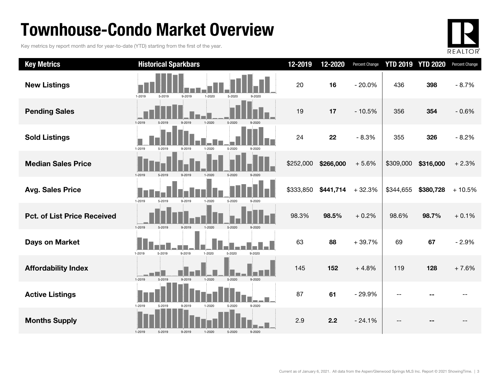### Townhouse-Condo Market Overview

Key metrics by report month and for year-to-date (YTD) starting from the first of the year.



| <b>Key Metrics</b>                 | <b>Historical Sparkbars</b>                                      | 12-2019   | 12-2020   | Percent Change | <b>YTD 2019</b> | <b>YTD 2020</b> | Percent Change |
|------------------------------------|------------------------------------------------------------------|-----------|-----------|----------------|-----------------|-----------------|----------------|
| <b>New Listings</b>                | 1-2019<br>5-2019<br>9-2019<br>$1 - 2020$<br>5-2020               | 20        | 16        | $-20.0%$       | 436             | 398             | $-8.7%$        |
| <b>Pending Sales</b>               | 5-2020<br>1-2020<br>1-2019<br>5.2019                             | 19        | 17        | $-10.5%$       | 356             | 354             | $-0.6%$        |
| <b>Sold Listings</b>               | $1 - 2019$<br>5-2020<br>5-2019<br>1-2020<br>9-2019               | 24        | 22        | $-8.3%$        | 355             | 326             | $-8.2%$        |
| <b>Median Sales Price</b>          | 5-2019<br>9-2019<br>5-2020<br>1-2019<br>$1 - 2020$               | \$252,000 | \$266,000 | $+5.6%$        | \$309,000       | \$316,000       | $+2.3%$        |
| <b>Avg. Sales Price</b>            | 1-2019<br>5-2019<br>5-2020<br>9-2019<br>1-2020<br>$9 - 2020$     | \$333,850 | \$441,714 | $+32.3%$       | \$344,655       | \$380,728       | $+10.5%$       |
| <b>Pct. of List Price Received</b> | 1-2019<br>5-2019<br>9-2019<br>1-2020<br>5-2020                   | 98.3%     | 98.5%     | $+0.2%$        | 98.6%           | 98.7%           | $+0.1%$        |
| <b>Days on Market</b>              | 1-2019<br>5-2019<br>9-2019<br>$1 - 2020$<br>5-2020<br>9-2020     | 63        | 88        | $+39.7%$       | 69              | 67              | $-2.9%$        |
| <b>Affordability Index</b>         | 1-2019<br>5-2019<br>9-2019<br>$1 - 2020$<br>5-2020<br>$9 - 2020$ | 145       | 152       | $+4.8%$        | 119             | 128             | $+7.6%$        |
| <b>Active Listings</b>             | 1-2019<br>9-2020<br>9-2019<br>1-2020<br>5-2020<br>5-2019         | 87        | 61        | $-29.9%$       | $-$             |                 |                |
| <b>Months Supply</b>               | $1 - 2019$<br>5-2020<br>9-2020<br>5-2019<br>9-2019<br>1-2020     | 2.9       | 2.2       | $-24.1%$       | $-$             |                 |                |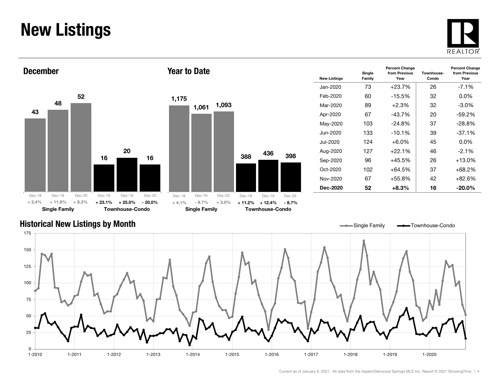### New Listings







| <b>New Listings</b> | Single<br>Family | <b>Percent Change</b><br>from Previous<br>Year | Townhouse-<br>Condo | <b>Percent Change</b><br>from Previous<br>Year |
|---------------------|------------------|------------------------------------------------|---------------------|------------------------------------------------|
| Jan-2020            | 73               | $+23.7%$                                       | 26                  | $-7.1\%$                                       |
| Feb-2020            | 60               | $-15.5%$                                       | 32                  | $0.0\%$                                        |
| Mar-2020            | 89               | $+2.3%$                                        | 32                  | $-3.0\%$                                       |
| Apr-2020            | 67               | $-43.7%$                                       | 20                  | $-59.2%$                                       |
| May-2020            | 103              | $-24.8%$                                       | 37                  | $-28.8%$                                       |
| Jun-2020            | 133              | $-10.1%$                                       | 39                  | $-37.1%$                                       |
| Jul-2020.           | 124              | +6.0%                                          | 45                  | $0.0\%$                                        |
| Aug-2020            | 127              | $+22.1%$                                       | 46                  | $-2.1%$                                        |
| Sep-2020            | 96               | $+45.5\%$                                      | 26                  | $+13.0%$                                       |
| Oct-2020            | 102              | $+64.5%$                                       | 37                  | $+68.2%$                                       |
| Nov-2020            | 67               | $+55.8%$                                       | 42                  | $+82.6%$                                       |
| Dec-2020            | 52               | $+8.3%$                                        | 16                  | $-20.0\%$                                      |

#### Historical New Listings by Month

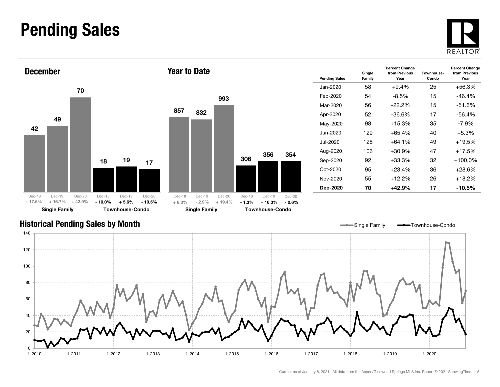### Pending Sales







| <b>Pending Sales</b> | Single<br>Family | <b>Percent Change</b><br>from Previous<br>Year | Townhouse-<br>Condo | <b>Percent Change</b><br>from Previous<br>Year |
|----------------------|------------------|------------------------------------------------|---------------------|------------------------------------------------|
| Jan-2020             | 58               | $+9.4%$                                        | 25                  | $+56.3%$                                       |
| Feb-2020             | 54               | $-8.5%$                                        | 15                  | $-46.4%$                                       |
| Mar-2020             | 56               | -22.2%                                         | 15                  | $-51.6%$                                       |
| Apr-2020             | 52               | -36.6%                                         | 17                  | $-56.4%$                                       |
| May-2020             | 98               | $+15.3%$                                       | 35                  | $-7.9\%$                                       |
| Jun-2020             | 129              | +65.4%                                         | 40                  | $+5.3%$                                        |
| Jul-2020             | 128              | $+64.1%$                                       | 49                  | $+19.5%$                                       |
| Aug-2020             | 106              | $+30.9%$                                       | 47                  | $+17.5%$                                       |
| Sep-2020             | 92               | +33.3%                                         | 32                  | $+100.0\%$                                     |
| Oct-2020             | 95               | $+23.4%$                                       | 36                  | $+28.6%$                                       |
| Nov-2020             | 55               | $+12.2%$                                       | 26                  | $+18.2%$                                       |
| Dec-2020             | 70               | +42.9%                                         | 17                  | $-10.5\%$                                      |

Single Family **-** Townhouse-Condo

#### Historical Pending Sales by Month

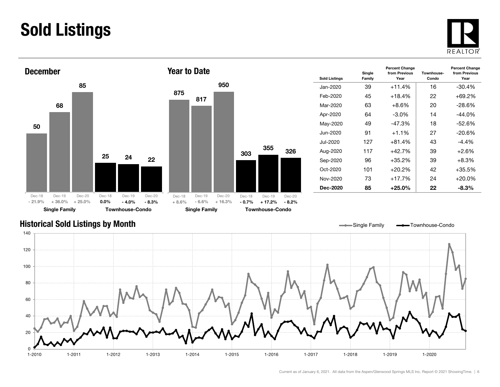### Sold Listings





| <b>Sold Listings</b> | Single<br>Family | <b>Percent Change</b><br>from Previous<br>Year | Townhouse-<br>Condo | <b>Percent Change</b><br>from Previous<br>Year |
|----------------------|------------------|------------------------------------------------|---------------------|------------------------------------------------|
| Jan-2020             | 39               | $+11.4%$                                       | 16                  | $-30.4%$                                       |
| Feb-2020             | 45               | +18.4%                                         | 22                  | $+69.2%$                                       |
| Mar-2020             | 63               | $+8.6\%$                                       | 20                  | -28.6%                                         |
| Apr-2020             | 64               | $-3.0\%$                                       | 14                  | $-44.0%$                                       |
| May-2020             | 49               | -47.3%                                         | 18                  | $-52.6%$                                       |
| Jun-2020             | 91               | $+1.1%$                                        | 27                  | $-20.6%$                                       |
| Jul-2020             | 127              | $+81.4%$                                       | 43                  | -4.4%                                          |
| Aug-2020             | 117              | $+42.7%$                                       | 39                  | $+2.6%$                                        |
| Sep-2020             | 96               | +35.2%                                         | 39                  | $+8.3\%$                                       |
| $Oct-2020$           | 101              | $+20.2\%$                                      | 42                  | $+35.5%$                                       |
| Nov-2020             | 73               | $+17.7%$                                       | 24                  | $+20.0%$                                       |
| Dec-2020             | 85               | +25.0%                                         | 22                  | $-8.3%$                                        |

#### Historical Sold Listings by Month

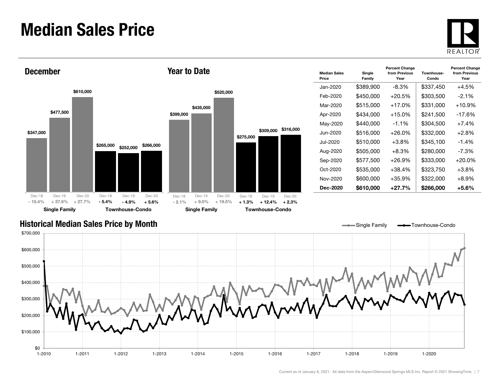### Median Sales Price





| <b>Median Sales</b><br>Price | Single<br>Family | <b>Percent Change</b><br>from Previous<br>Year | Townhouse-<br>Condo | <b>Percent Change</b><br>from Previous<br>Year |
|------------------------------|------------------|------------------------------------------------|---------------------|------------------------------------------------|
| Jan-2020                     | \$389,900        | $-8.3\%$                                       | \$337,450           | $+4.5%$                                        |
| Feb-2020                     | \$450,000        | $+20.5%$                                       | \$303,500           | $-2.1\%$                                       |
| Mar-2020                     | \$515,000        | $+17.0\%$                                      | \$331,000           | $+10.9\%$                                      |
| Apr-2020                     | \$434,000        | $+15.0%$                                       | \$241,500           | -17.6%                                         |
| May-2020                     | \$440,000        | $-1.1%$                                        | \$304,500           | $+7.4%$                                        |
| Jun-2020.                    | \$516,000        | +26.0%                                         | \$332,000           | $+2.8\%$                                       |
| Jul-2020                     | \$510,000        | $+3.8%$                                        | \$345,100           | $-1.4%$                                        |
| Aug-2020                     | \$505,000        | $+8.3%$                                        | \$280,000           | $-7.3\%$                                       |
| Sep-2020                     | \$577,500        | $+26.9%$                                       | \$333,000           | $+20.0\%$                                      |
| Oct-2020                     | \$535,000        | $+38.4%$                                       | \$323,750           | $+3.8%$                                        |
| Nov-2020                     | \$600,000        | $+35.9%$                                       | \$322,000           | $+8.9\%$                                       |
| Dec-2020                     | \$610,000        | $+27.7%$                                       | \$266,000           | +5.6%                                          |

Single Family **-** Townhouse-Condo

#### Historical Median Sales Price by Month

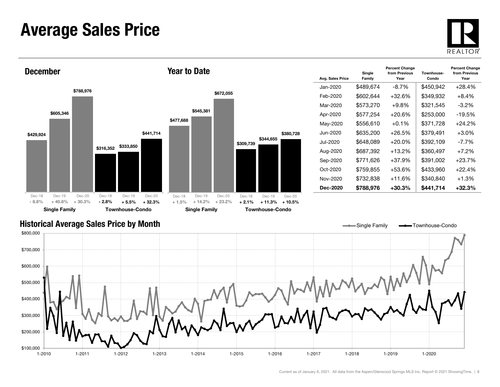### Average Sales Price





| Avg. Sales Price | Single<br>Family | <b>Percent Change</b><br>from Previous<br>Year | Townhouse-<br>Condo | <b>Percent Change</b><br>from Previous<br>Year |
|------------------|------------------|------------------------------------------------|---------------------|------------------------------------------------|
| Jan-2020         | \$489.674        | -8.7%                                          | \$450,942           | $+28.4%$                                       |
| Feb-2020         | \$602,644        | $+32.6%$                                       | \$349,932           | $+8.4%$                                        |
| Mar-2020         | \$573,270        | $+9.8\%$                                       | \$321,545           | -3.2%                                          |
| Apr-2020         | \$577,254        | $+20.6%$                                       | \$253,000           | $-19.5%$                                       |
| May-2020         | \$556,610        | $+0.1%$                                        | \$371,728           | $+24.2%$                                       |
| Jun-2020.        | \$635,200        | +26.5%                                         | \$379,491           | $+3.0\%$                                       |
| Jul-2020         | \$648,089        | +20.0%                                         | \$392.109           | -7.7%                                          |
| Aug-2020         | \$687,392        | $+13.2%$                                       | \$360,497           | $+7.2%$                                        |
| Sep-2020         | \$771,626        | $+37.9%$                                       | \$391,002           | $+23.7%$                                       |
| Oct-2020         | \$759.855        | +53.6%                                         | \$433.960           | $+22.4%$                                       |
| Nov-2020         | \$732,838        | $+11.6%$                                       | \$340,840           | $+1.3%$                                        |
| Dec-2020         | \$788,976        | +30.3%                                         | \$441,714           | +32.3%                                         |

#### Historical Average Sales Price by Month

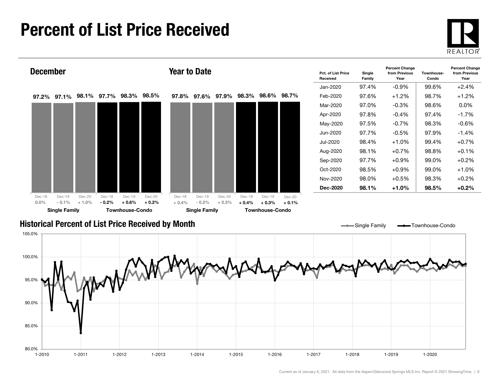### Percent of List Price Received





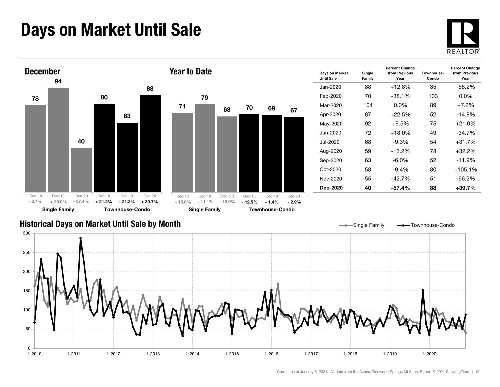### Days on Market Until Sale





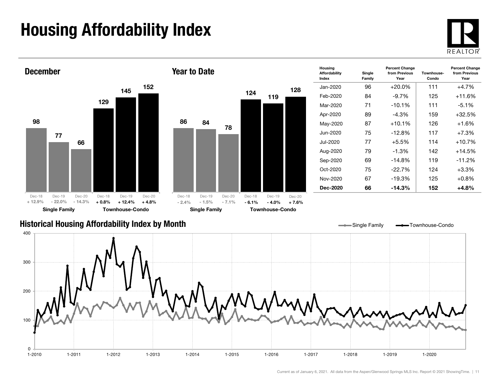## Housing Affordability Index



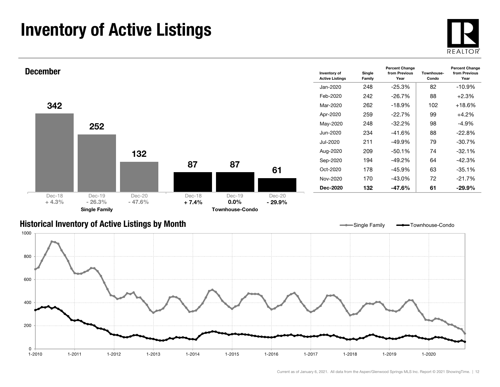### Inventory of Active Listings





#### Historical Inventory of Active Listings by Month



Single Family **- Townhouse-Condo**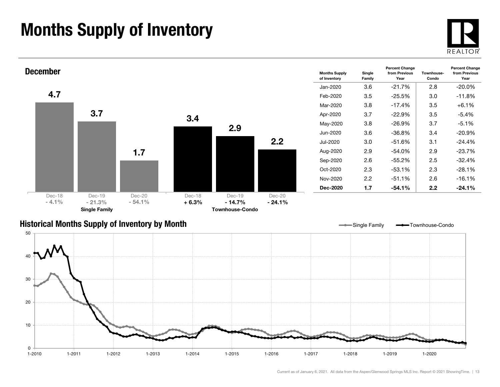### Months Supply of Inventory





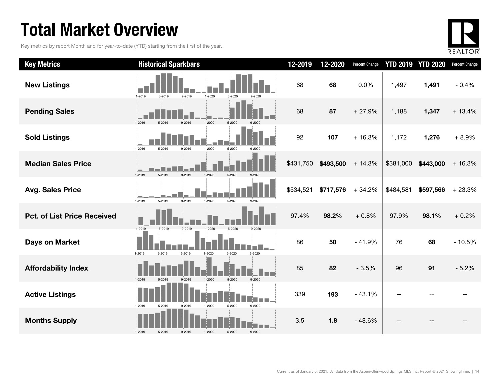### Total Market Overview

Key metrics by report Month and for year-to-date (YTD) starting from the first of the year.



| <b>Key Metrics</b>                 | <b>Historical Sparkbars</b>                                      | 12-2019   | 12-2020   | Percent Change |           | <b>YTD 2019 YTD 2020</b> | Percent Change |
|------------------------------------|------------------------------------------------------------------|-----------|-----------|----------------|-----------|--------------------------|----------------|
| <b>New Listings</b>                | 1-2019<br>$1 - 2020$<br>5-2020<br>5-2019<br>9-2019<br>9-2020     | 68        | 68        | 0.0%           | 1,497     | 1,491                    | $-0.4%$        |
| <b>Pending Sales</b>               | 1-2019<br>1-2020<br>5-2020<br>9-2019<br>5.201                    | 68        | 87        | $+27.9%$       | 1,188     | 1,347                    | $+13.4%$       |
| <b>Sold Listings</b>               | 1-2019<br>5-2019<br>1-2020<br>9-2019<br>5-2020<br>$9 - 2020$     | 92        | 107       | $+16.3%$       | 1,172     | 1,276                    | $+8.9%$        |
| <b>Median Sales Price</b>          | 1-2019<br>$-2020$<br>5-2020                                      | \$431,750 | \$493,500 | $+14.3%$       | \$381,000 | \$443,000                | $+16.3%$       |
| <b>Avg. Sales Price</b>            | 9-2019<br>1-2019<br>5-2019<br>$1 - 2020$<br>5-2020<br>$9 - 2020$ | \$534,521 | \$717,576 | $+34.2%$       | \$484,581 | \$597,566                | $+23.3%$       |
| <b>Pct. of List Price Received</b> | 1-2019<br>5-2019<br>9-2019<br>1-2020<br>5-2020<br>9-2020         | 97.4%     | 98.2%     | $+0.8%$        | 97.9%     | 98.1%                    | $+0.2%$        |
| <b>Days on Market</b>              | 1-2019<br>9-2019<br>9-2020<br>5-2019<br>1-2020<br>5-2020         | 86        | 50        | $-41.9%$       | 76        | 68                       | $-10.5%$       |
| <b>Affordability Index</b>         | 1-2019<br>1-2020<br>5-2020<br>$9 - 2020$<br>5-2019<br>$Q - 201Q$ | 85        | 82        | $-3.5%$        | 96        | 91                       | $-5.2%$        |
| <b>Active Listings</b>             | 9-2020<br>1-2019<br>1-2020<br>5-2020<br>5-2019<br>9-2019         | 339       | 193       | $-43.1%$       |           |                          |                |
| <b>Months Supply</b>               | 1-2019<br>5-2019<br>9-2019<br>5-2020<br>9-2020<br>1-2020         | 3.5       | 1.8       | $-48.6%$       |           |                          |                |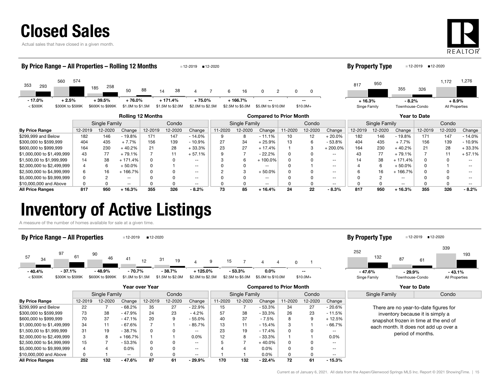

Actual sales that have closed in a given month.



#### **By Price Range** | 12-2019 12-2020 Change | 12-2019 12-2020 Change | 11-2020 Change | 12-2020 12-2020 12-2019 12-2019 12-2019 12-2019 12-2020 12-2020 Change | 12-2019 12-2019 12-2020 Change | 12-2019 12-2019 Rolling 12 Months Compared to Prior Month Year to Date Single Family Condo || Single Family | Condo || Single Family | Condo 353560 185 50 880 <sup>88</sup> 14 38 4293<br>293 195 185 258 50 88 14 38 4 7 6 16 0 2 0 574 258847 16 2 0< \$300K \$300K to \$599K \$600K to \$999K \$1.0M to \$1.5M \$1.5M to \$2.0M \$2.0M \$2.5M \$2.5M to \$5.0M \$5.0M to \$10.0M \$10.0M+ By Price Range – All Properties – Rolling 12 Months 12-2019 12-2020 8173551,172 <sup>950</sup>3261,276 Singe Family Townhouse-Condo **By Property Type** 12-2019 12-2020 --- 17.0% $+ 2.5\% + 39.5\% + 76.0\%$  + 171.4% + 75.0% + 166.7% -- + 16.3% $+ 16.3\%$   $- 8.2\%$   $+ 8.9\%$ All Properties

| <b>By Price Range</b>      | 12-2019 | 12-2020 | Change   | 12-2019 | 12-2020 | Change   | 1-2020 | 12-2020 | Change     | 11-2020 | 12-2020 | Change    | 12-2019 | 12-2020 | Change    | 12-2019 | 12-2020 | Change   |
|----------------------------|---------|---------|----------|---------|---------|----------|--------|---------|------------|---------|---------|-----------|---------|---------|-----------|---------|---------|----------|
| \$299,999 and Below        | 182     | 146     | $-19.8%$ | 171     | 147     | $-14.0%$ |        |         | $-11.1%$   |         |         | $-20.0\%$ | 182     | 146     | $-19.8%$  | 171     | 147     | $-14.0%$ |
| \$300,000 to \$599,999     | 404     | 435     | $+7.7%$  | 156     | 139     | $-10.9%$ |        | 34      | + 25.9%    | 13      |         | $-53.8%$  | 404     | 435     | $+7.7%$   | 156     | 139     | $-10.9%$ |
| \$600,000 to \$999.999     | 164     | 230     | 40.2%    |         | 28      | ⊦ 33.3%  | 23     | 27      | $+17.4%$   |         |         | 200.0%    | 164     | 230     | $+40.2%$  | 21      | 28      | + 33.3%  |
| \$1,000,000 to \$1,499,999 | 43      | 77      | 79.1%    |         |         | $+57.1%$ |        |         | $-22.2%$   |         |         |           |         | 77      | - 79.1%   |         |         | + 57.1%  |
| \$1,500,00 to \$1,999,999  | 14      | 38      | 171.4%   |         |         |          |        |         | $-100.0\%$ |         |         |           |         | 38      | $+171.4%$ |         |         |          |
| \$2,000,000 to \$2,499,999 |         |         | 50.0%    |         |         | $- -$    |        |         | $- -$      |         |         | $- -$     |         |         | $-50.0\%$ |         |         | $- -$    |
| \$2,500,000 to \$4,999,999 |         | 16      | 166.7%   |         |         | --       |        |         | + 50.0%    |         |         |           |         | 16      | 166.7%    |         |         |          |
| \$5,000,000 to \$9,999,999 |         |         |          |         |         |          |        |         | $- -$      |         |         |           |         |         | --        |         |         |          |
| \$10,000,000 and Above     |         |         | --       |         |         | $- -$    |        |         | $- -$      |         |         |           |         |         | $- -$     |         |         |          |
| <b>All Price Ranges</b>    | 817     | 950     | 16.3%    | 355     | 326     | $-8.2%$  |        | 85      | $+16.4%$   | 24      | 22      | - 8.3%    | 817     | 950     | ⊦ 16.3%   | 355     | 326     | $-8.2%$  |

### Inventory of Active Listings

A measure of the number of homes available for sale at a given time.

#### By Price Range – All Properties 12-2019 12-2020





|                            |         |               |                          | Year over Year |         |          | <b>Compared to Prior Month</b> |               |          |         |         |               |               | Year to Date                          |
|----------------------------|---------|---------------|--------------------------|----------------|---------|----------|--------------------------------|---------------|----------|---------|---------|---------------|---------------|---------------------------------------|
|                            |         | Single Family |                          |                | Condo   |          |                                | Single Family |          |         | Condo   |               | Single Family | Condo                                 |
| <b>By Price Range</b>      | 12-2019 | 12-2020       | Change                   | 12-2019        | 12-2020 | Change   | 11-2020                        | 12-2020       | Change   | 11-2020 | 12-2020 | Change        |               |                                       |
| \$299,999 and Below        | 22      |               | $-68.2%$                 | 35             | 27      | $-22.9%$ | 15                             |               | - 53.3%  | 34      | 27      | - 20.6%       |               | There are no year-to-date figures for |
| \$300,000 to \$599,999     | 73      | 38            | $-47.9%$                 | 24             | 23      | $-4.2%$  | 57                             | 38            | $-33.3%$ | 26      | 23      | - 11.5%       |               | inventory because it is simply a      |
| \$600,000 to \$999.999     | 70      | 37            | $-47.1%$                 | 20             |         | $-55.0%$ | 40                             | 37            | $-7.5%$  |         | 9       | - 12.5%       |               | snapshot frozen in time at the end of |
| \$1,000,000 to \$1,499,999 | 34      | 11            | - 67.6%                  |                |         | - 85.7%  | 13                             | 11            | $-15.4%$ | 3       |         | - 66.7%       |               | each month. It does not add up over a |
| \$1,500,00 to \$1,999,999  | 31      | 19            | $-38.7%$                 | 0              |         | $- -$    | 23                             | 19            | $-17.4%$ |         |         | $- -$         |               | period of months.                     |
| \$2,000,000 to \$2,499,999 | 3       | 8             | $+166.7%$                |                |         | 0.0%     | 12                             |               | - 33.3%  |         |         | $0.0\%$       |               |                                       |
| \$2,500,000 to \$4,999,999 | 15      |               | $-53.3%$                 | 0              |         | $- -$    |                                |               | $+40.0%$ |         |         | $- -$         |               |                                       |
| \$5,000,000 to \$9,999,999 | 4       |               | 0.0%                     | 0              |         | $- -$    |                                |               | 0.0%     |         |         | $\sim$ $\sim$ |               |                                       |
| \$10,000,000 and Above     | 0       |               | $\overline{\phantom{a}}$ |                |         | $- -$    |                                |               | $0.0\%$  |         |         | $\sim$ $\sim$ |               |                                       |
| <b>All Price Ranges</b>    | 252     | 132           | $-47.6%$                 | 87             | 61      | $-29.9%$ | 170                            | 132           | $-22.4%$ | 72      | 61      | $-15.3%$      |               |                                       |